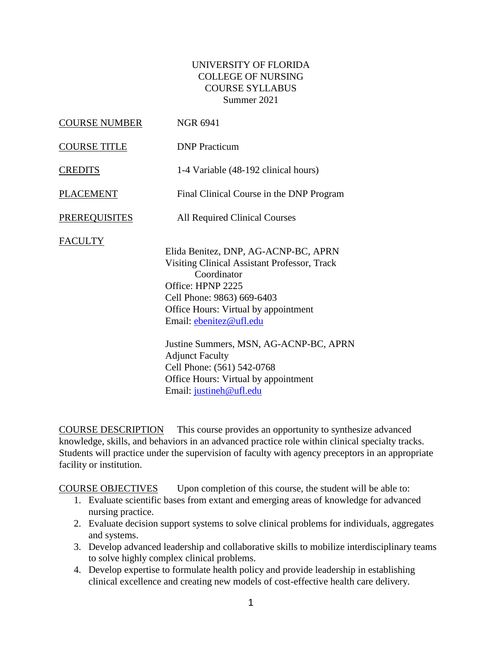### UNIVERSITY OF FLORIDA COLLEGE OF NURSING COURSE SYLLABUS Summer 2021

| <b>COURSE NUMBER</b> | <b>NGR 6941</b>                                                                                                                                                                                                                                                                                                                                                                                |
|----------------------|------------------------------------------------------------------------------------------------------------------------------------------------------------------------------------------------------------------------------------------------------------------------------------------------------------------------------------------------------------------------------------------------|
| <b>COURSE TITLE</b>  | <b>DNP</b> Practicum                                                                                                                                                                                                                                                                                                                                                                           |
| <b>CREDITS</b>       | 1-4 Variable (48-192 clinical hours)                                                                                                                                                                                                                                                                                                                                                           |
| <b>PLACEMENT</b>     | Final Clinical Course in the DNP Program                                                                                                                                                                                                                                                                                                                                                       |
| <b>PREREQUISITES</b> | <b>All Required Clinical Courses</b>                                                                                                                                                                                                                                                                                                                                                           |
| <b>FACULTY</b>       | Elida Benitez, DNP, AG-ACNP-BC, APRN<br>Visiting Clinical Assistant Professor, Track<br>Coordinator<br>Office: HPNP 2225<br>Cell Phone: 9863) 669-6403<br>Office Hours: Virtual by appointment<br>Email: ebenitez@ufl.edu<br>Justine Summers, MSN, AG-ACNP-BC, APRN<br><b>Adjunct Faculty</b><br>Cell Phone: (561) 542-0768<br>Office Hours: Virtual by appointment<br>Email: justineh@ufl.edu |

COURSE DESCRIPTION This course provides an opportunity to synthesize advanced knowledge, skills, and behaviors in an advanced practice role within clinical specialty tracks. Students will practice under the supervision of faculty with agency preceptors in an appropriate facility or institution.

COURSE OBJECTIVES Upon completion of this course, the student will be able to:

- 1. Evaluate scientific bases from extant and emerging areas of knowledge for advanced nursing practice.
- 2. Evaluate decision support systems to solve clinical problems for individuals, aggregates and systems.
- 3. Develop advanced leadership and collaborative skills to mobilize interdisciplinary teams to solve highly complex clinical problems.
- 4. Develop expertise to formulate health policy and provide leadership in establishing clinical excellence and creating new models of cost-effective health care delivery.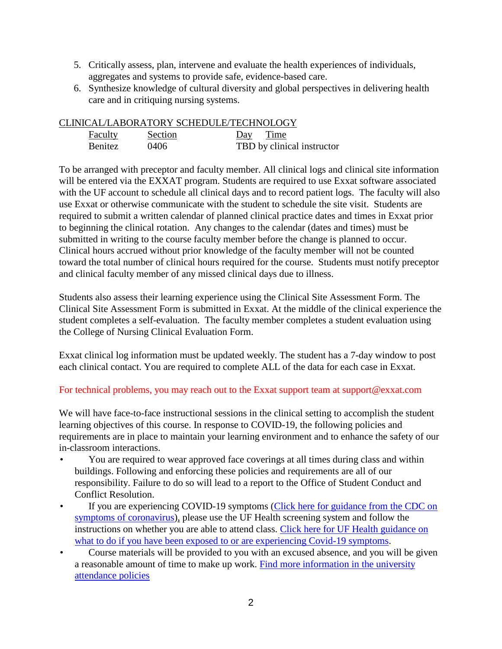- 5. Critically assess, plan, intervene and evaluate the health experiences of individuals, aggregates and systems to provide safe, evidence-based care.
- 6. Synthesize knowledge of cultural diversity and global perspectives in delivering health care and in critiquing nursing systems.

#### CLINICAL/LABORATORY SCHEDULE/TECHNOLOGY

| <b>Faculty</b> | Section | Day Time                   |
|----------------|---------|----------------------------|
| <b>Benitez</b> | 0406    | TBD by clinical instructor |

To be arranged with preceptor and faculty member. All clinical logs and clinical site information will be entered via the EXXAT program. Students are required to use Exxat software associated with the UF account to schedule all clinical days and to record patient logs. The faculty will also use Exxat or otherwise communicate with the student to schedule the site visit. Students are required to submit a written calendar of planned clinical practice dates and times in Exxat prior to beginning the clinical rotation. Any changes to the calendar (dates and times) must be submitted in writing to the course faculty member before the change is planned to occur. Clinical hours accrued without prior knowledge of the faculty member will not be counted toward the total number of clinical hours required for the course. Students must notify preceptor and clinical faculty member of any missed clinical days due to illness.

Students also assess their learning experience using the Clinical Site Assessment Form. The Clinical Site Assessment Form is submitted in Exxat. At the middle of the clinical experience the student completes a self-evaluation. The faculty member completes a student evaluation using the College of Nursing Clinical Evaluation Form.

Exxat clinical log information must be updated weekly. The student has a 7-day window to post each clinical contact. You are required to complete ALL of the data for each case in Exxat.

### For technical problems, you may reach out to the Exxat support team at support@exxat.com

We will have face-to-face instructional sessions in the clinical setting to accomplish the student learning objectives of this course. In response to COVID-19, the following policies and requirements are in place to maintain your learning environment and to enhance the safety of our in-classroom interactions.

- You are required to wear approved face coverings at all times during class and within buildings. Following and enforcing these policies and requirements are all of our responsibility. Failure to do so will lead to a report to the Office of Student Conduct and Conflict Resolution.
- If you are experiencing COVID-19 symptoms (Click here for guidance from the CDC on [symptoms of coronavirus\)](https://www.cdc.gov/coronavirus/2019-ncov/symptoms-testing/symptoms.html), please use the UF Health screening system and follow the instructions on whether you are able to attend class. [Click here for UF Health guidance on](https://coronavirus.ufhealth.org/screen-test-protect/covid-19-exposure-and-symptoms-who-do-i-call-if/)  what to [do if you have been exposed to or are experiencing Covid-19 symptoms.](https://coronavirus.ufhealth.org/screen-test-protect/covid-19-exposure-and-symptoms-who-do-i-call-if/)
- Course materials will be provided to you with an excused absence, and you will be given a reasonable amount of time to make up work. [Find more information in the university](https://catalog.ufl.edu/UGRD/academic-regulations/attendance-policies/)  [attendance policies](https://catalog.ufl.edu/UGRD/academic-regulations/attendance-policies/)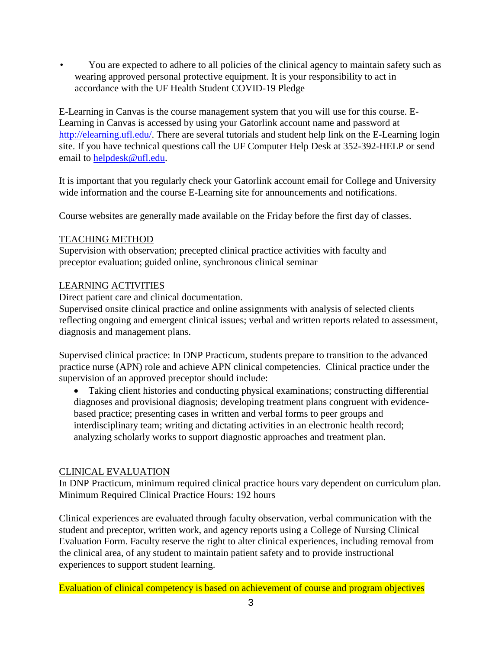• You are expected to adhere to all policies of the clinical agency to maintain safety such as wearing approved personal protective equipment. It is your responsibility to act in accordance with the UF Health Student COVID-19 Pledge

E-Learning in Canvas is the course management system that you will use for this course. E-Learning in Canvas is accessed by using your Gatorlink account name and password at [http://elearning.ufl.edu/.](http://elearning.ufl.edu/) There are several tutorials and student help link on the E-Learning login site. If you have technical questions call the UF Computer Help Desk at 352-392-HELP or send email to [helpdesk@ufl.edu.](mailto:helpdesk@ufl.edu)

It is important that you regularly check your Gatorlink account email for College and University wide information and the course E-Learning site for announcements and notifications.

Course websites are generally made available on the Friday before the first day of classes.

## TEACHING METHOD

Supervision with observation; precepted clinical practice activities with faculty and preceptor evaluation; guided online, synchronous clinical seminar

## LEARNING ACTIVITIES

Direct patient care and clinical documentation.

Supervised onsite clinical practice and online assignments with analysis of selected clients reflecting ongoing and emergent clinical issues; verbal and written reports related to assessment, diagnosis and management plans.

Supervised clinical practice: In DNP Practicum, students prepare to transition to the advanced practice nurse (APN) role and achieve APN clinical competencies. Clinical practice under the supervision of an approved preceptor should include:

• Taking client histories and conducting physical examinations; constructing differential diagnoses and provisional diagnosis; developing treatment plans congruent with evidencebased practice; presenting cases in written and verbal forms to peer groups and interdisciplinary team; writing and dictating activities in an electronic health record; analyzing scholarly works to support diagnostic approaches and treatment plan.

### CLINICAL EVALUATION

In DNP Practicum, minimum required clinical practice hours vary dependent on curriculum plan. Minimum Required Clinical Practice Hours: 192 hours

Clinical experiences are evaluated through faculty observation, verbal communication with the student and preceptor, written work, and agency reports using a College of Nursing Clinical Evaluation Form. Faculty reserve the right to alter clinical experiences, including removal from the clinical area, of any student to maintain patient safety and to provide instructional experiences to support student learning.

Evaluation of clinical competency is based on achievement of course and program objectives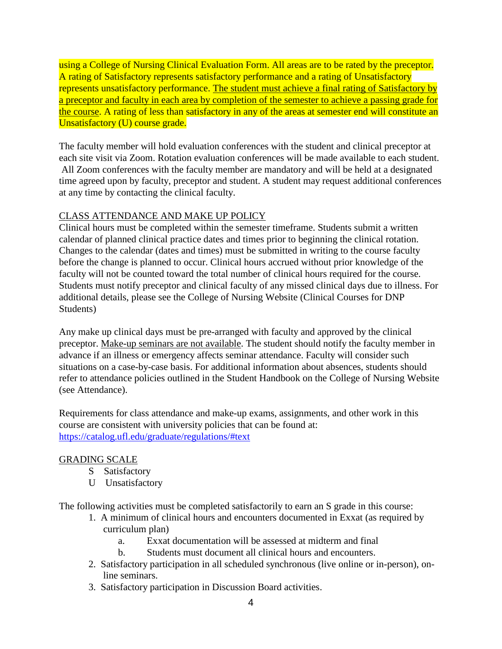using a College of Nursing Clinical Evaluation Form. All areas are to be rated by the preceptor. A rating of Satisfactory represents satisfactory performance and a rating of Unsatisfactory represents unsatisfactory performance. The student must achieve a final rating of Satisfactory by a preceptor and faculty in each area by completion of the semester to achieve a passing grade for the course. A rating of less than satisfactory in any of the areas at semester end will constitute an Unsatisfactory (U) course grade.

The faculty member will hold evaluation conferences with the student and clinical preceptor at each site visit via Zoom. Rotation evaluation conferences will be made available to each student. All Zoom conferences with the faculty member are mandatory and will be held at a designated time agreed upon by faculty, preceptor and student. A student may request additional conferences at any time by contacting the clinical faculty.

## CLASS ATTENDANCE AND MAKE UP POLICY

Clinical hours must be completed within the semester timeframe. Students submit a written calendar of planned clinical practice dates and times prior to beginning the clinical rotation. Changes to the calendar (dates and times) must be submitted in writing to the course faculty before the change is planned to occur. Clinical hours accrued without prior knowledge of the faculty will not be counted toward the total number of clinical hours required for the course. Students must notify preceptor and clinical faculty of any missed clinical days due to illness. For additional details, please see the College of Nursing Website (Clinical Courses for DNP Students)

Any make up clinical days must be pre-arranged with faculty and approved by the clinical preceptor. Make-up seminars are not available. The student should notify the faculty member in advance if an illness or emergency affects seminar attendance. Faculty will consider such situations on a case-by-case basis. For additional information about absences, students should refer to attendance policies outlined in the Student Handbook on the College of Nursing Website (see Attendance).

Requirements for class attendance and make-up exams, assignments, and other work in this course are consistent with university policies that can be found at: <https://catalog.ufl.edu/graduate/regulations/#text>

### GRADING SCALE

- S Satisfactory
- U Unsatisfactory

The following activities must be completed satisfactorily to earn an S grade in this course:

- 1. A minimum of clinical hours and encounters documented in Exxat (as required by curriculum plan)
	- a. Exxat documentation will be assessed at midterm and final
	- b. Students must document all clinical hours and encounters.
- 2. Satisfactory participation in all scheduled synchronous (live online or in-person), online seminars.
- 3. Satisfactory participation in Discussion Board activities.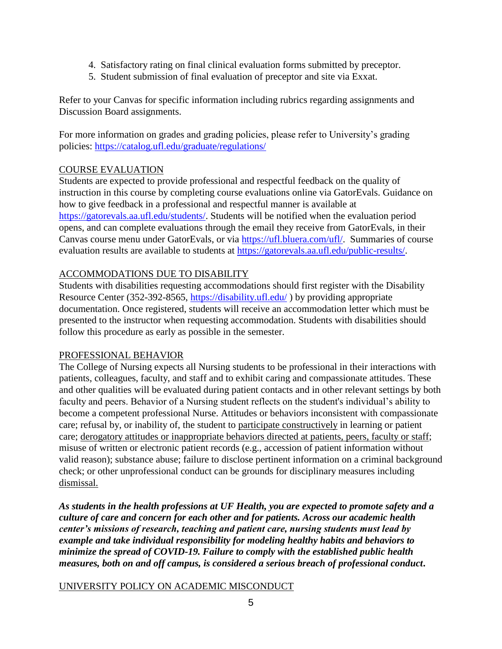- 4. Satisfactory rating on final clinical evaluation forms submitted by preceptor.
- 5. Student submission of final evaluation of preceptor and site via Exxat.

Refer to your Canvas for specific information including rubrics regarding assignments and Discussion Board assignments.

For more information on grades and grading policies, please refer to University's grading policies:<https://catalog.ufl.edu/graduate/regulations/>

# COURSE EVALUATION

Students are expected to provide professional and respectful feedback on the quality of instruction in this course by completing course evaluations online via GatorEvals. Guidance on how to give feedback in a professional and respectful manner is available at [https://gatorevals.aa.ufl.edu/students/.](https://gatorevals.aa.ufl.edu/students/) Students will be notified when the evaluation period opens, and can complete evaluations through the email they receive from GatorEvals, in their Canvas course menu under GatorEvals, or via [https://ufl.bluera.com/ufl/.](https://ufl.bluera.com/ufl/) Summaries of course evaluation results are available to students at [https://gatorevals.aa.ufl.edu/public-results/.](https://gatorevals.aa.ufl.edu/public-results/)

### ACCOMMODATIONS DUE TO DISABILITY

Students with disabilities requesting accommodations should first register with the Disability Resource Center (352-392-8565,<https://disability.ufl.edu/> ) by providing appropriate documentation. Once registered, students will receive an accommodation letter which must be presented to the instructor when requesting accommodation. Students with disabilities should follow this procedure as early as possible in the semester.

### PROFESSIONAL BEHAVIOR

The College of Nursing expects all Nursing students to be professional in their interactions with patients, colleagues, faculty, and staff and to exhibit caring and compassionate attitudes. These and other qualities will be evaluated during patient contacts and in other relevant settings by both faculty and peers. Behavior of a Nursing student reflects on the student's individual's ability to become a competent professional Nurse. Attitudes or behaviors inconsistent with compassionate care; refusal by, or inability of, the student to participate constructively in learning or patient care; derogatory attitudes or inappropriate behaviors directed at patients, peers, faculty or staff; misuse of written or electronic patient records (e.g., accession of patient information without valid reason); substance abuse; failure to disclose pertinent information on a criminal background check; or other unprofessional conduct can be grounds for disciplinary measures including dismissal.

*As students in the health professions at UF Health, you are expected to promote safety and a culture of care and concern for each other and for patients. Across our academic health center's missions of research, teaching and patient care, nursing students must lead by example and take individual responsibility for modeling healthy habits and behaviors to minimize the spread of COVID-19. Failure to comply with the established public health measures, both on and off campus, is considered a serious breach of professional conduct***.** 

### UNIVERSITY POLICY ON ACADEMIC MISCONDUCT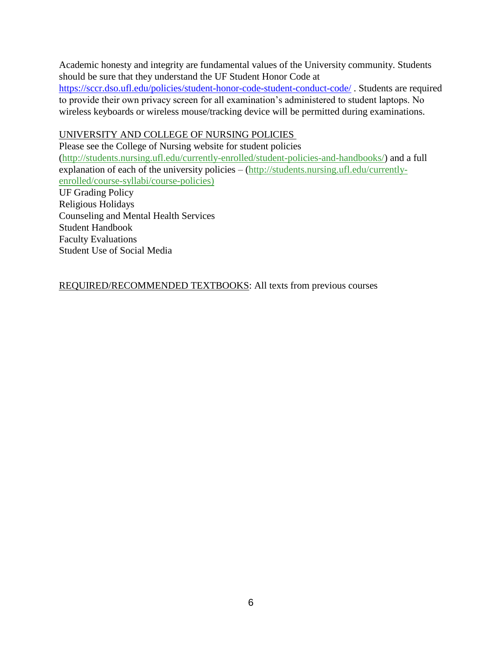Academic honesty and integrity are fundamental values of the University community. Students should be sure that they understand the UF Student Honor Code at

<https://sccr.dso.ufl.edu/policies/student-honor-code-student-conduct-code/> . Students are required to provide their own privacy screen for all examination's administered to student laptops. No wireless keyboards or wireless mouse/tracking device will be permitted during examinations.

#### UNIVERSITY AND COLLEGE OF NURSING POLICIES

Please see the College of Nursing website for student policies [\(http://students.nursing.ufl.edu/currently-enrolled/student-policies-and-handbooks/\)](http://students.nursing.ufl.edu/currently-enrolled/student-policies-and-handbooks/) and a full explanation of each of the university policies – [\(http://students.nursing.ufl.edu/currently](http://students.nursing.ufl.edu/currently-enrolled/course-syllabi/course-policies)[enrolled/course-syllabi/course-policies\)](http://students.nursing.ufl.edu/currently-enrolled/course-syllabi/course-policies)

UF Grading Policy Religious Holidays Counseling and Mental Health Services Student Handbook Faculty Evaluations Student Use of Social Media

REQUIRED/RECOMMENDED TEXTBOOKS: All texts from previous courses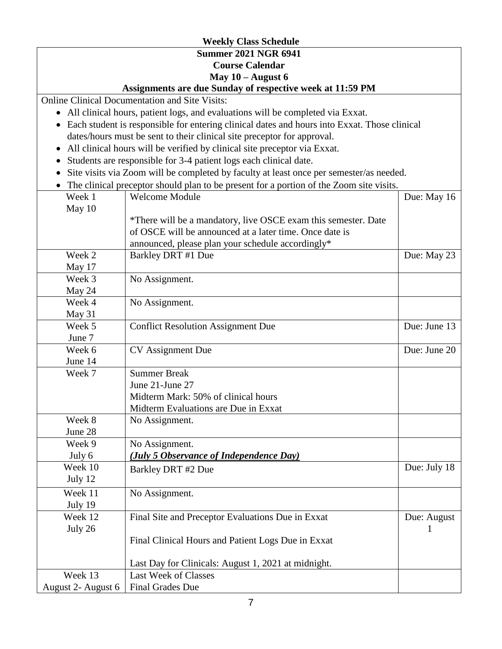# **Weekly Class Schedule Summer 2021 NGR 6941 Course Calendar May 10 – August 6**

### **Assignments are due Sunday of respective week at 11:59 PM**

Online Clinical Documentation and Site Visits:

- All clinical hours, patient logs, and evaluations will be completed via Exxat.
- Each student is responsible for entering clinical dates and hours into Exxat. Those clinical dates/hours must be sent to their clinical site preceptor for approval.
- All clinical hours will be verified by clinical site preceptor via Exxat.
- Students are responsible for 3-4 patient logs each clinical date.
- Site visits via Zoom will be completed by faculty at least once per semester/as needed.
- The clinical preceptor should plan to be present for a portion of the Zoom site visits.

| Week 1             | The enfirm preceptor should plan to be present for a portion of the Zoom she visit<br><b>Welcome Module</b> | Due: May 16  |
|--------------------|-------------------------------------------------------------------------------------------------------------|--------------|
| May 10             |                                                                                                             |              |
|                    | *There will be a mandatory, live OSCE exam this semester. Date                                              |              |
|                    | of OSCE will be announced at a later time. Once date is                                                     |              |
|                    | announced, please plan your schedule accordingly*                                                           |              |
| Week 2             | Barkley DRT #1 Due                                                                                          | Due: May 23  |
| May 17             |                                                                                                             |              |
| Week 3             | No Assignment.                                                                                              |              |
| May 24             |                                                                                                             |              |
| Week 4             | No Assignment.                                                                                              |              |
| May 31             |                                                                                                             |              |
| Week 5             | <b>Conflict Resolution Assignment Due</b>                                                                   | Due: June 13 |
| June 7             |                                                                                                             |              |
| Week 6             | CV Assignment Due                                                                                           | Due: June 20 |
| June 14            |                                                                                                             |              |
| Week 7             | <b>Summer Break</b>                                                                                         |              |
|                    | June 21-June 27                                                                                             |              |
|                    | Midterm Mark: 50% of clinical hours                                                                         |              |
|                    | Midterm Evaluations are Due in Exxat                                                                        |              |
| Week 8             | No Assignment.                                                                                              |              |
| June 28            |                                                                                                             |              |
| Week 9             | No Assignment.                                                                                              |              |
| July 6             | (July 5 Observance of Independence Day)                                                                     |              |
| Week 10            | Barkley DRT #2 Due                                                                                          | Due: July 18 |
| July 12            |                                                                                                             |              |
| Week 11            | No Assignment.                                                                                              |              |
| July 19            |                                                                                                             |              |
| Week 12            | Final Site and Preceptor Evaluations Due in Exxat                                                           | Due: August  |
| July 26            |                                                                                                             | 1            |
|                    | Final Clinical Hours and Patient Logs Due in Exxat                                                          |              |
|                    |                                                                                                             |              |
|                    | Last Day for Clinicals: August 1, 2021 at midnight.                                                         |              |
| Week 13            | <b>Last Week of Classes</b>                                                                                 |              |
| August 2- August 6 | <b>Final Grades Due</b>                                                                                     |              |